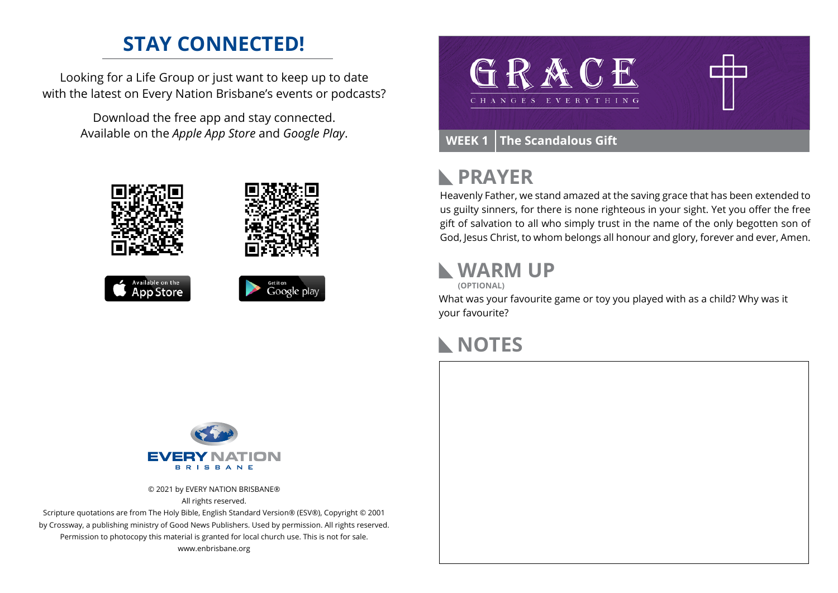### **STAY CONNECTED!**

Looking for a Life Group or just want to keep up to date with the latest on Every Nation Brisbane's events or podcasts?

> Download the free app and stay connected. Available on the *Apple App Store* and *Google Play*.





#### **PRAYER**  $\blacktriangleright$

Heavenly Father, we stand amazed at the saving grace that has been extended to us guilty sinners, for there is none righteous in your sight. Yet you offer the free gift of salvation to all who simply trust in the name of the only begotten son of God, Jesus Christ, to whom belongs all honour and glory, forever and ever, Amen.

#### **WARM UP**

**(OPTIONAL)**

What was your favourite game or toy you played with as a child? Why was it your favourite?

### **NOTES**



© 2021 by EVERY NATION BRISBANE® All rights reserved.

Scripture quotations are from The Holy Bible, English Standard Version® (ESV®), Copyright © 2001 by Crossway, a publishing ministry of Good News Publishers. Used by permission. All rights reserved. Permission to photocopy this material is granted for local church use. This is not for sale. www.enbrisbane.org